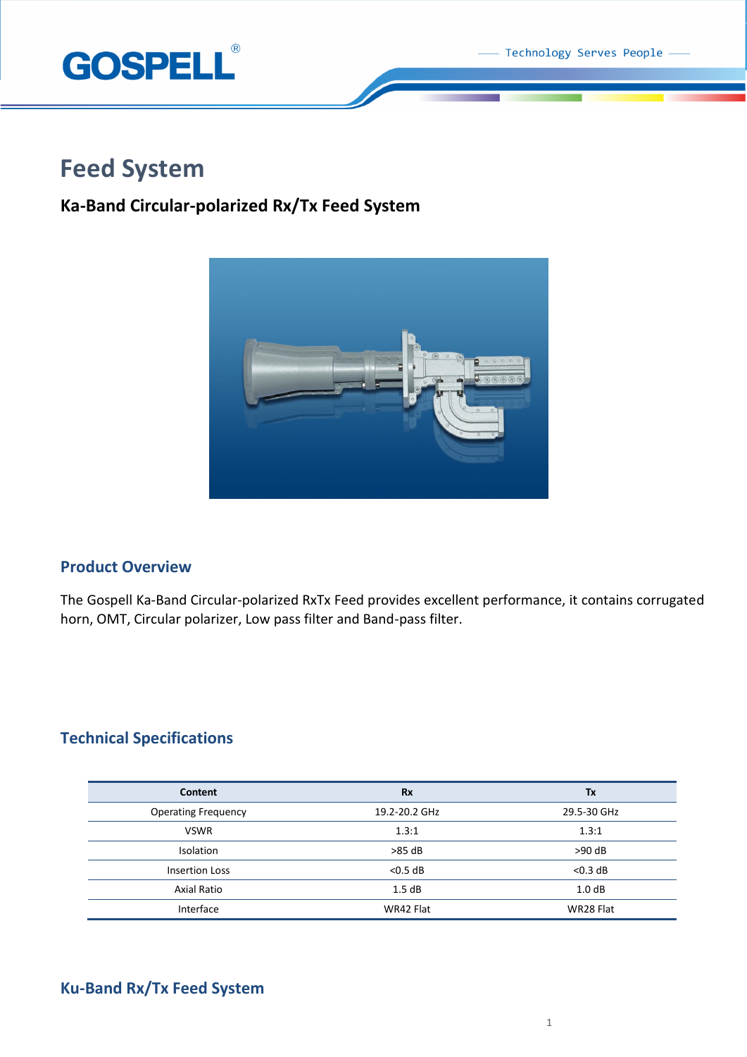Technology Serves People



# **Feed System**

## **Ka-Band Circular-polarized Rx/Tx Feed System**



## **Product Overview**

The Gospell Ka-Band Circular-polarized RxTx Feed provides excellent performance, it contains corrugated horn, OMT, Circular polarizer, Low pass filter and Band-pass filter.

## **Technical Specifications**

| Content                    | <b>Rx</b>     | Tx                |
|----------------------------|---------------|-------------------|
| <b>Operating Frequency</b> | 19.2-20.2 GHz | 29.5-30 GHz       |
| <b>VSWR</b>                | 1.3:1         | 1.3:1             |
| <b>Isolation</b>           | $>85$ dB      | $>90$ dB          |
| <b>Insertion Loss</b>      | $<$ 0.5 dB    | $<$ 0.3 dB        |
| Axial Ratio                | 1.5dB         | 1.0 <sub>dB</sub> |
| Interface                  | WR42 Flat     | WR28 Flat         |

## **Ku-Band Rx/Tx Feed System**